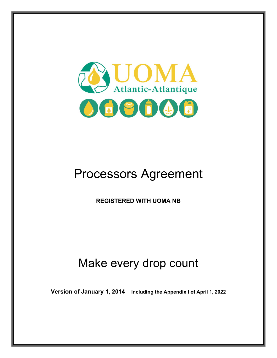

# Processors Agreement

**REGISTERED WITH UOMA NB** 

## Make every drop count

**Version of January 1, 2014 – Including the Appendix I of April 1, 2022**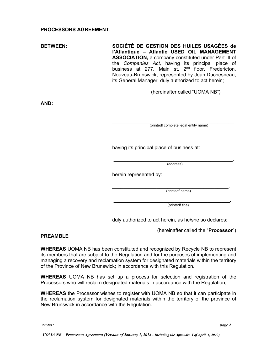#### **PROCESSORS AGREEMENT**:

**BETWEEN: SOCIÉTÉ DE GESTION DES HUILES USAGÉES de l'Atlantique – Atlantic USED OIL MANAGEMENT ASSOCIATION,** a company constituted under Part III of the *Companies Act,* having its principal place of business at 277, Main st, 2<sup>nd</sup> floor, Fredericton, Nouveau-Brunswick, represented by Jean Duchesneau, its General Manager, duly authorized to act herein;

(hereinafter called "UOMA NB")

**AND:** 

\_\_\_\_\_\_\_\_\_\_\_\_\_\_\_\_\_\_\_\_\_\_\_\_\_\_\_\_\_\_\_\_\_\_\_\_\_\_\_\_\_\_\_\_ (printedf complete legal entity name)

having its principal place of business at:

\_\_\_\_\_\_\_\_\_\_\_\_\_\_\_\_\_\_\_\_\_\_\_\_\_\_\_\_\_\_\_\_\_\_\_\_\_\_\_\_\_\_\_, (address)

herein represented by:

\_\_\_\_\_\_\_\_\_\_\_\_\_\_\_\_\_\_\_\_\_\_\_\_\_\_\_\_\_\_\_\_\_\_\_\_\_\_\_\_\_\_, (printedf name)

\_\_\_\_\_\_\_\_\_\_\_\_\_\_\_\_\_\_\_\_\_\_\_\_\_\_\_\_\_\_\_\_\_\_\_\_\_\_\_\_\_\_, (printedf title)

duly authorized to act herein, as he/she so declares:

(hereinafter called the "**Processor**")

#### **PREAMBLE**

**WHEREAS** UOMA NB has been constituted and recognized by Recycle NB to represent its members that are subject to the Regulation and for the purposes of implementing and managing a recovery and reclamation system for designated materials within the territory of the Province of New Brunswick; in accordance with this Regulation.

**WHEREAS** UOMA NB has set up a process for selection and registration of the Processors who will reclaim designated materials in accordance with the Regulation;

**WHEREAS** the Processor wishes to register with UOMA NB so that it can participate in the reclamation system for designated materials within the territory of the province of New Brunswick in accordance with the Regulation.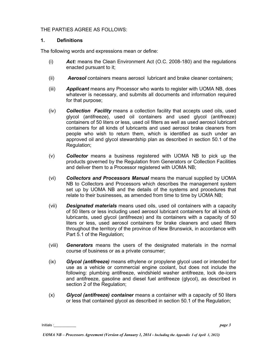#### THE PARTIES AGREE AS FOLLOWS:

#### **1. Definitions**

The following words and expressions mean or define:

- (i) *Act:* means the Clean Environment Act (O.C. 2008-180) and the regulations enacted pursuant to it;
- (ii) *Aerosol* containers means aerosol lubricant and brake cleaner containers;
- (iii) *Applicant* means any Processor who wants to register with UOMA NB, does whatever is necessary, and submits all documents and information required for that purpose;
- (iv) *Collection Facility* means a collection facility that accepts used oils, used glycol (antifreeze), used oil containers and used glycol (antifreeze) containers of 50 liters or less, used oil filters as well as used aerosol lubricant containers for all kinds of lubricants and used aerosol brake cleaners from people who wish to return them, which is identified as such under an approved oil and glycol stewardship plan as described in section 50.1 of the Regulation;
- (v) *Collector* means a business registered with UOMA NB to pick up the products governed by the Regulation from Generators or Collection Facilities and deliver them to a Processor registered with UOMA NB;
- (vi) *Collectors and Processors Manual* means the manual supplied by UOMA NB to Collectors and Processors which describes the management system set up by UOMA NB and the details of the systems and procedures that relate to their businesses, as amended from time to time by UOMA NB;
- (vii) *Designated materials* means used oils, used oil containers with a capacity of 50 liters or less including used aerosol lubricant containers for all kinds of lubricants, used glycol (antifreeze) and its containers with a capacity of 50 liters or less, used aerosol containers for brake cleaners and used filters throughout the territory of the province of New Brunswick, in accordance with Part 5.1 of the Regulation;
- (viii) *Generators* means the users of the designated materials in the normal course of business or as a private consumer;
- (ix) *Glycol (antifreeze)* means ethylene or propylene glycol used or intended for use as a vehicle or commercial engine coolant, but does not include the following: plumbing antifreeze, windshield washer antifreeze, lock de-icers and antifreeze, gasoline and diesel fuel antifreeze (glycol), as described in section 2 of the Regulation;
- (x) *Glycol (antifreeze) container* means a container with a capacity of 50 liters or less that contained glycol as described in section 50.1 of the Regulation;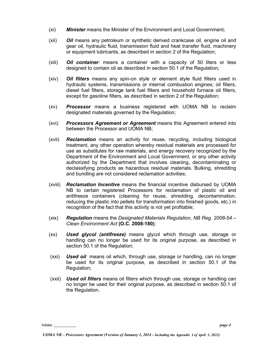- (xi) *Minister* means the Minister of the Environment and Local Government;
- (xii) *Oil* means any petroleum or synthetic derived crankcase oil, engine oil and gear oil, hydraulic fluid, transmission fluid and heat transfer fluid, machinery or equipment lubricants, as described in section 2 of the Regulation;
- (xiii) *Oil container*: means a container with a capacity of 50 liters or less designed to contain oil as described in section 50.1 of the Regulation;
- (xiv) *Oil filters* means any spin-on style or element style fluid filters used in hydraulic systems, transmissions or internal combustion engines; oil filters, diesel fuel filters, storage tank fuel filters and household furnace oil filters, except for gasoline filters, as described in section 2 of the Regulation;
- (xv) *Processor* means a business registered with UOMA NB to reclaim designated materials governed by the Regulation;
- (xvi) *Processors Agreement or Agreement* means this Agreement entered into between the Processor and UOMA NB;
- (xvii) *Reclamation* means an activity for reuse, recycling, including biological treatment, any other operation whereby residual materials are processed for use as substitutes for raw materials, and energy recovery recognized by the Department of the Environment and Local Government, or any other activity authorized by the Department that involves cleaning, decontaminating or declassifying products as hazardous residual materials. Bulking, shredding and bundling are not considered reclamation activities;
- (xviii) *Reclamation Incentive* means the financial incentive disbursed by UOMA NB to certain registered Processors for reclamation of plastic oil and antifreeze containers (cleaning for reuse, shredding, decontamination, reducing the plastic into pellets for transformation into finished goods, etc.) in recognition of the fact that this activity is not yet profitable;
- (xix) *Regulation* means the *Designated Materials Regulation, NB Reg. 2008-54 – Clean Environment Act* **(O.C. 2008-180)**;
- (xx) *Used glycol (antifreeze)* means glycol which through use, storage or handling can no longer be used for its original purpose, as described in section 50.1 of the Regulation;
- (xxi) *Used oil* means oil which, through use, storage or handling, can no longer be used for its original purpose, as described in section 50.1 of the Regulation;
- (xxii) *Used oil filters* means oil filters which through use, storage or handling can no longer be used for their original purpose, as described in section 50.1 of the Regulation.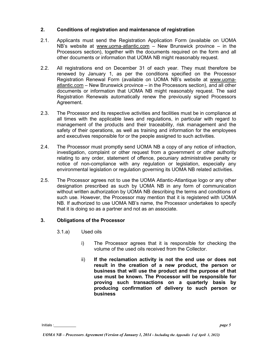#### **2. Conditions of registration and maintenance of registration**

- 2.1. Applicants must send the Registration Application Form (available on UOMA NB's website at [www.uoma-atlantic.com](http://www.uoma-atlantic.com/)  $-$  New Brunswick province  $-$  in the Processors section), together with the documents required on the form and all other documents or information that UOMA NB might reasonably request.
- 2.2. All registrations end on December 31 of each year. They must therefore be renewed by January 1, as per the conditions specified on the Processor Registration Renewal Form (available on UOMA NB's website at [www.uoma](http://www.uoma-atlantic.com/)[atlantic.com](http://www.uoma-atlantic.com/) – New Brunswick province – in the Processors section), and all other documents or information that UOMA NB might reasonably request. The said Registration Renewals automatically renew the previously signed Processors Agreement.
- 2.3. The Processor and its respective activities and facilities must be in compliance at all times with the applicable laws and regulations, in particular with regard to management of the products and their traceability, risk management and the safety of their operations, as well as training and information for the employees and executives responsible for or the people assigned to such activities.
- 2.4. The Processor must promptly send UOMA NB a copy of any notice of infraction, investigation, complaint or other request from a government or other authority relating to any order, statement of offence, pecuniary administrative penalty or notice of non-compliance with any regulation or legislation, especially any environmental legislation or regulation governing its UOMA NB related activities.
- 2.5. The Processor agrees not to use the UOMA Atlantic-Atlantique logo or any other designation prescribed as such by UOMA NB in any form of communication without written authorization by UOMA NB describing the terms and conditions of such use. However, the Processor may mention that it is registered with UOMA NB. If authorized to use UOMA NB's name, the Processor undertakes to specify that it is doing so as a partner and not as an associate.

#### **3. Obligations of the Processor**

- 3.1.a) Used oils
	- i) The Processor agrees that it is responsible for checking the volume of the used oils received from the Collector.
	- ii) **If the reclamation activity is not the end use or does not result in the creation of a new product, the person or business that will use the product and the purpose of that use must be known. The Processor will be responsible for proving such transactions on a quarterly basis by producing confirmation of delivery to such person or business**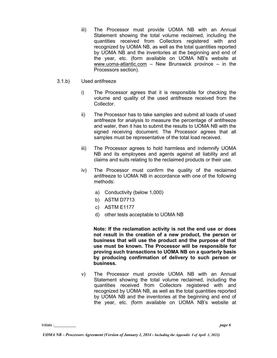- iii) The Processor must provide UOMA NB with an Annual Statement showing the total volume reclaimed, including the quantities received from Collectors registered with and recognized by UOMA NB, as well as the total quantities reported by UOMA NB and the inventories at the beginning and end of the year, etc. (form available on UOMA NB's website at [www.uoma-atlantic.com](http://www.uoma-atlantic.com/) – New Brunswick province – in the Processors section).
- 3.1.b) Used antifreeze
	- i) The Processor agrees that it is responsible for checking the volume and quality of the used antifreeze received from the Collector.
	- ii) The Processor has to take samples and submit all loads of used antifreeze for analysis to measure the percentage of antifreeze and water, then it has to submit the results to UOMA NB with the signed receiving document. The Processor agrees that all samples must be representative of the total load received.
	- iii) The Processor agrees to hold harmless and indemnify UOMA NB and its employees and agents against all liability and all claims and suits relating to the reclaimed products or their use.
	- iv) The Processor must confirm the quality of the reclaimed antifreeze to UOMA NB in accordance with one of the following methods:
		- a) Conductivity (below 1,000)
		- b) ASTM D7713
		- c) ASTM E1177
		- d) other tests acceptable to UOMA NB

**Note: If the reclamation activity is not the end use or does not result in the creation of a new product, the person or business that will use the product and the purpose of that use must be known. The Processor will be responsible for proving such transactions to UOMA NB on a quarterly basis by producing confirmation of delivery to such person or business.**

v) The Processor must provide UOMA NB with an Annual Statement showing the total volume reclaimed, including the quantities received from Collectors registered with and recognized by UOMA NB, as well as the total quantities reported by UOMA NB and the inventories at the beginning and end of the year, etc. (form available on UOMA NB's website at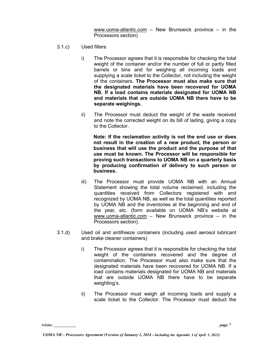[www.uoma-atlantic.com](http://www.uoma-atlantic.com/) – New Brunswick province – in the Processors section)

- 3.1.c) Used filters
	- i) The Processor agrees that it is responsible for checking the total weight of the container and/or the number of full or partly filled barrels or bins and for weighing all incoming loads and supplying a scale ticket to the Collector, not including the weight of the containers. **The Processor must also make sure that the designated materials have been recovered for UOMA NB. If a load contains materials designated for UOMA NB and materials that are outside UOMA NB there have to be separate weighings.**
	- ii) The Processor must deduct the weight of the waste received and note the corrected weight on its bill of lading, giving a copy to the Collector.

**Note: If the reclamation activity is not the end use or does not result in the creation of a new product, the person or business that will use the product and the purpose of that use must be known. The Processor will be responsible for proving such transactions to UOMA NB on a quarterly basis by producing confirmation of delivery to such person or business.**

- iii) The Processor must provide UOMA NB with an Annual Statement showing the total volume reclaimed, including the quantities received from Collectors registered with and recognized by UOMA NB, as well as the total quantities reported by UOMA NB and the inventories at the beginning and end of the year, etc. (form available on UOMA NB's website at [www.uoma-atlantic.com](http://www.uoma-atlantic.com/) – New Brunswick province – in the Processors section).
- 3.1.d) Used oil and antifreeze containers (including used aerosol lubricant and brake cleaner containers)
	- i) The Processor agrees that it is responsible for checking the total weight of the containers recovered and the degree of contamination. The Processor must also make sure that the designated materials have been recovered for UOMA NB. If a load contains materials designated for UOMA NB and materials that are outside UOMA NB there have to be separate weighting's.
	- ii) The Processor must weigh all incoming loads and supply a scale ticket to the Collector. The Processor must deduct the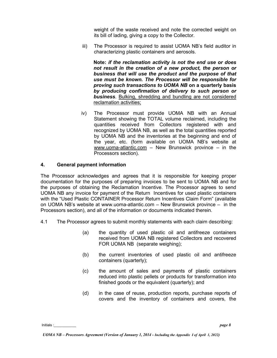weight of the waste received and note the corrected weight on its bill of lading, giving a copy to the Collector.

iii) The Processor is required to assist UOMA NB's field auditor in characterizing plastic containers and aerosols.

**Note:** *if the reclamation activity is not the end use or does not result in the creation of a new product, the person or business that will use the product and the purpose of that use must be known. The Processor will be responsible for proving such transactions to UOMA NB* **on a quarterly basis** *by producing confirmation of delivery to such person or business*. Bulking, shredding and bundling are not considered reclamation activities;

iv) The Processor must provide UOMA NB with an Annual Statement showing the TOTAL volume reclaimed, including the quantities received from Collectors registered with and recognized by UOMA NB, as well as the total quantities reported by UOMA NB and the inventories at the beginning and end of the year, etc. (form available on UOMA NB's website at [www.uoma-atlantic.com](http://www.uoma-atlantic.com/) – New Brunswick province – in the Processors section).

#### **4. General payment information**

The Processor acknowledges and agrees that it is responsible for keeping proper documentation for the purposes of preparing invoices to be sent to UOMA NB and for the purposes of obtaining the Reclamation Incentive. The Processor agrees to send UOMA NB any invoice for payment of the Return Incentives for used plastic containers with the "Used Plastic CONTAINER Processor Return Incentives Claim Form" (available on UOMA NB's website at www.uoma-atlantic.com – New Brunswick province – in the Processors section), and all of the information or documents indicated therein.

- 4.1 The Processor agrees to submit monthly statements with each claim describing:
	- (a) the quantity of used plastic oil and antifreeze containers received from UOMA NB registered Collectors and recovered FOR UOMA NB (separate weighing);
	- (b) the current inventories of used plastic oil and antifreeze containers (quarterly);
	- (c) the amount of sales and payments of plastic containers reduced into plastic pellets or products for transformation into finished goods or the equivalent (quarterly); and
	- (d) in the case of reuse, production reports, purchase reports of covers and the inventory of containers and covers, the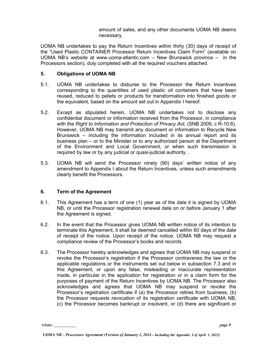amount of sales, and any other documents UOMA NB deems necessary.

UOMA NB undertakes to pay the Return Incentives within thirty (30) days of receipt of the "Used Plastic CONTAINER Processor Return Incentives Claim Form" (available on UOMA NB's website at www.uoma-atlantic.com – New Brunswick province – in the Processors section), duly completed with all the required vouchers attached.

#### **5. Obligations of UOMA NB**

- 5.1. UOMA NB undertakes to disburse to the Processor the Return Incentives corresponding to the quantities of used plastic oil containers that have been reused, reduced to pellets or products for transformation into finished goods or the equivalent, based on the amount set out in Appendix I hereof.
- 5.2. Except as stipulated herein, UOMA NB undertakes not to disclose any confidential document or information received from the Processor, in compliance with the *Right to Information and Protection of Privacy Act,* (SNB 2009, c R-10.6). However, UOMA NB may transmit any document or information to Recycle New Brunswick – including the information included in its annual report and its business plan – or to the Minister or to any authorized person at the Department of the Environment and Local Government, or when such transmission is required by law or by any judicial or quasi-judicial authority. .
- 5.3. UOMA NB will send the Processor ninety (90) days' written notice of any amendment to Appendix I about the Return Incentives, unless such amendments clearly benefit the Processors.

#### **6. Term of the Agreement**

- 6.1. This Agreement has a term of one (1) year as of the date it is signed by UOMA NB, or until the Processor registration renewal date on or before January 1 after the Agreement is signed.
- 6.2. In the event that the Processor gives UOMA NB written notice of its intention to terminate this Agreement, it shall be deemed cancelled within 60 days of the date of receipt of the notice. Upon receipt of the notice, UOMA NB may request a compliance review of the Processor's books and records.
- 6.3. The Processor hereby acknowledges and agrees that UOMA NB may suspend or revoke the Processor's registration if the Processor contravenes the law or the applicable regulations or the instruments set out below in subsection 7.3 and in this Agreement, or upon any false, misleading or inaccurate representation made, in particular in the application for registration or in a claim form for the purposes of payment of the Return Incentives by UOMA NB. The Processor also acknowledges and agrees that UOMA NB may suspend or revoke the Processor's registration certificate if (a) the Processor retires from business, (b) the Processor requests revocation of its registration certificate with UOMA NB, (c) the Processor becomes bankrupt or insolvent, or (d) there are significant or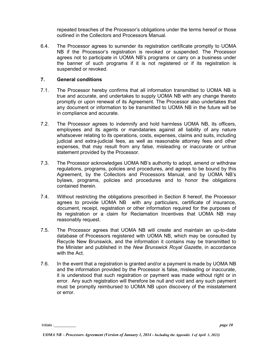repeated breaches of the Processor's obligations under the terms hereof or those outlined in the Collectors and Processors Manual.

6.4. The Processor agrees to surrender its registration certificate promptly to UOMA NB if the Processor's registration is revoked or suspended. The Processor agrees not to participate in UOMA NB's programs or carry on a business under the banner of such programs if it is not registered or if its registration is suspended or revoked.

#### **7. General conditions**

- 7.1. The Processor hereby confirms that all information transmitted to UOMA NB is true and accurate, and undertakes to supply UOMA NB with any change thereto promptly or upon renewal of its Agreement. The Processor also undertakes that any document or information to be transmitted to UOMA NB in the future will be in compliance and accurate.
- 7.2. The Processor agrees to indemnify and hold harmless UOMA NB, its officers, employees and its agents or mandataries against all liability of any nature whatsoever relating to its operations, costs, expenses, claims and suits, including judicial and extra-judicial fees, as well as reasonable attorney fees and other expenses, that may result from any false, misleading or inaccurate or untrue statement provided by the Processor.
- 7.3. The Processor acknowledges UOMA NB's authority to adopt, amend or withdraw regulations, programs, policies and procedures, and agrees to be bound by this Agreement, by the Collectors and Processors Manual, and by UOMA NB's bylaws, programs, policies and procedures and to honor the obligations contained therein.
- 7.4. Without restricting the obligations prescribed in Section 8 hereof, the Processor agrees to provide UOMA NB with any particulars, certificate of insurance, document, receipt, registration or other information required for the purposes of its registration or a claim for Reclamation Incentives that UOMA NB may reasonably request.
- 7.5. The Processor agrees that UOMA NB will create and maintain an up-to-date database of Processors registered with UOMA NB, which may be consulted by Recycle New Brunswick, and the information it contains may be transmitted to the Minister and published in the *New Brunswick Royal Gazette*, in accordance with the Act.
- 7.6. In the event that a registration is granted and/or a payment is made by UOMA NB and the information provided by the Processor is false, misleading or inaccurate, it is understood that such registration or payment was made without right or in error. Any such registration will therefore be null and void and any such payment must be promptly reimbursed to UOMA NB upon discovery of the misstatement or error.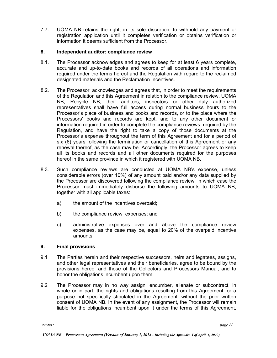7.7. UOMA NB retains the right, in its sole discretion, to withhold any payment or registration application until it completes verification or obtains verification or information it deems sufficient from the Processor.

#### **8. Independent auditor: compliance review**

- 8.1. The Processor acknowledges and agrees to keep for at least 6 years complete, accurate and up-to-date books and records of all operations and information required under the terms hereof and the Regulation with regard to the reclaimed designated materials and the Reclamation Incentives.
- 8.2. The Processor acknowledges and agrees that, in order to meet the requirements of the Regulation and this Agreement in relation to the compliance review, UOMA NB, Recycle NB, their auditors, inspectors or other duly authorized representatives shall have full access during normal business hours to the Processor's place of business and books and records, or to the place where the Processors' books and records are kept, and to any other document or information required in order to complete the compliance reviews required by the Regulation, and have the right to take a copy of those documents at the Processor's expense throughout the term of this Agreement and for a period of six (6) years following the termination or cancellation of this Agreement or any renewal thereof, as the case may be. Accordingly, the Processor agrees to keep all its books and records and all other documents required for the purposes hereof in the same province in which it registered with UOMA NB.
- 8.3. Such compliance reviews are conducted at UOMA NB's expense, unless considerable errors (over 10%) of any amount paid and/or any data supplied by the Processor are discovered following the compliance review, in which case the Processor must immediately disburse the following amounts to UOMA NB, together with all applicable taxes:
	- a) the amount of the incentives overpaid;
	- b) the compliance review expenses; and
	- c) administrative expenses over and above the compliance review expenses, as the case may be, equal to 20% of the overpaid incentive amounts.

#### **9. Final provisions**

- 9.1 The Parties herein and their respective successors, heirs and legatees, assigns, and other legal representatives and their beneficiaries, agree to be bound by the provisions hereof and those of the Collectors and Processors Manual, and to honor the obligations incumbent upon them.
- 9.2 The Processor may in no way assign, encumber, alienate or subcontract, in whole or in part, the rights and obligations resulting from this Agreement for a purpose not specifically stipulated in the Agreement, without the prior written consent of UOMA NB. In the event of any assignment, the Processor will remain liable for the obligations incumbent upon it under the terms of this Agreement,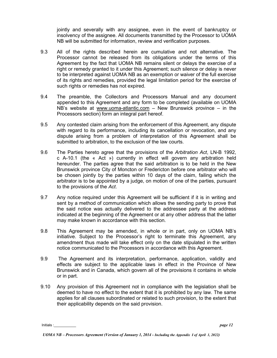jointly and severally with any assignee, even in the event of bankruptcy or insolvency of the assignee. All documents transmitted by the Processor to UOMA NB will be submitted for information, review and verification purposes.

- 9.3 All of the rights described herein are cumulative and not alternative. The Processor cannot be released from its obligations under the terms of this Agreement by the fact that UOMA NB remains silent or delays the exercise of a right or remedy granted to it under this Agreement; such silence or delay is never to be interpreted against UOMA NB as an exemption or waiver of the full exercise of its rights and remedies, provided the legal limitation period for the exercise of such rights or remedies has not expired.
- 9.4 The preamble, the Collectors and Processors Manual and any document appended to this Agreement and any form to be completed (available on UOMA NB's website at [www.uoma-atlantic.com](http://www.uoma-atlantic.com/)  $-$  New Brunswick province  $-$  in the Processors section) form an integral part hereof.
- 9.5 Any contested claim arising from the enforcement of this Agreement, any dispute with regard to its performance, including its cancellation or revocation, and any dispute arising from a problem of interpretation of this Agreement shall be submitted to arbitration, to the exclusion of the law courts.
- 9.6 The Parties hereto agree that the provisions of the *Arbitration Act*, LN-B 1992, c A-10.1 (the « Act ») currently in effect will govern any arbitration held hereunder. The parties agree that the said arbitration is to be held in the New Brunswick province City of Moncton or Fredericton before one arbitrator who will be chosen jointly by the parties within 10 days of the claim, failing which the arbitrator is to be appointed by a judge, on motion of one of the parties, pursuant to the provisions of the *Act*.
- 9.7 Any notice required under this Agreement will be sufficient if it is in writing and sent by a method of communication which allows the sending party to prove that the said notice was actually delivered to the addressee party at the address indicated at the beginning of the Agreement or at any other address that the latter may make known in accordance with this section.
- 9.8 This Agreement may be amended, in whole or in part, only on UOMA NB's initiative. Subject to the Processor's right to terminate this Agreement, any amendment thus made will take effect only on the date stipulated in the written notice communicated to the Processors in accordance with this Agreement.
- 9.9 The Agreement and its interpretation, performance, application, validity and effects are subject to the applicable laws in effect in the Province of New Brunswick and in Canada, which govern all of the provisions it contains in whole or in part.
- 9.10 Any provision of this Agreement not in compliance with the legislation shall be deemed to have no effect to the extent that it is prohibited by any law. The same applies for all clauses subordinated or related to such provision, to the extent that their applicability depends on the said provision.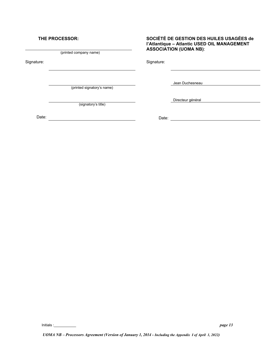#### **THE PROCESSOR:**

\_\_\_\_\_\_\_\_\_\_\_\_\_\_\_\_\_\_\_\_\_\_\_\_\_\_\_\_\_\_\_\_\_\_\_\_\_\_\_\_\_\_\_\_\_\_\_\_\_\_\_\_\_ (printed company name)

Signature: Signature: Signature: Signature: Signature: Signature: Signature: Signature: Signature: Signature: Signature: Signature: Signature: Signature: Signature: Signature: Signature: Signature: Signature: Signature: Si

(printed signatory's name)

(signatory's title)

**SOCIÉTÉ DE GESTION DES HUILES USAGÉES de l'Atlantique – Atlantic USED OIL MANAGEMENT ASSOCIATION (UOMA NB)**:

Jean Duchesneau

Directeur général<br>
and the contract of the contract of the contract of the contract of the contract of the contract of the contract of the contract of the contract of the contract of the contract of the contract of the con

Date: Date: